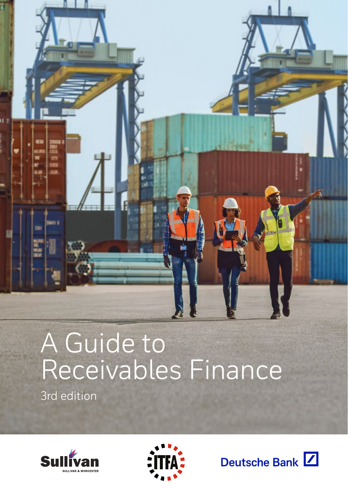

# A Guide to Receivables Finance

3rd edition





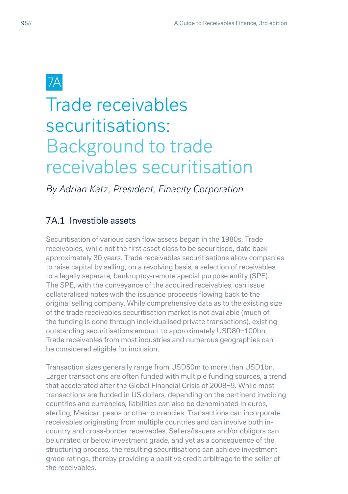# Trade receivables securitisations: Background to trade receivables securitisation

*By Adrian Katz, President, Finacity Corporation*

# 7A.1 Investible assets

Securitisation of various cash flow assets began in the 1980s. Trade receivables, while not the first asset class to be securitised, date back approximately 30 years. Trade receivables securitisations allow companies to raise capital by selling, on a revolving basis, a selection of receivables to a legally separate, bankruptcy-remote special purpose entity (SPE). The SPE, with the conveyance of the acquired receivables, can issue collateralised notes with the issuance proceeds flowing back to the original selling company. While comprehensive data as to the existing size of the trade receivables securitisation market is not available (much of the funding is done through individualised private transactions), existing outstanding securitisations amount to approximately USD80−100bn. Trade receivables from most industries and numerous geographies can be considered eligible for inclusion.

Transaction sizes generally range from USD50m to more than USD1bn. Larger transactions are often funded with multiple funding sources, a trend that accelerated after the Global Financial Crisis of 2008−9. While most transactions are funded in US dollars, depending on the pertinent invoicing countries and currencies, liabilities can also be denominated in euros, sterling, Mexican pesos or other currencies. Transactions can incorporate receivables originating from multiple countries and can involve both incountry and cross-border receivables. Sellers/issuers and/or obligors can be unrated or below investment grade, and yet as a consequence of the structuring process, the resulting securitisations can achieve investment grade ratings, thereby providing a positive credit arbitrage to the seller of the receivables.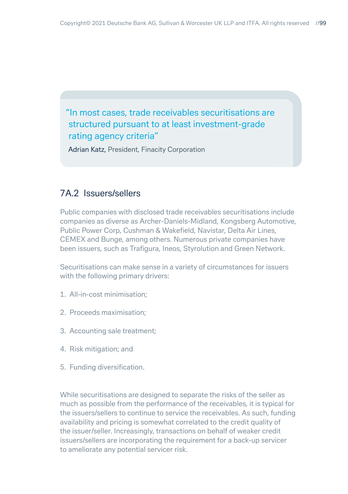# "In most cases, trade receivables securitisations are structured pursuant to at least investment-grade rating agency criteria"

Adrian Katz, President, Finacity Corporation

#### 7A.2 Issuers/sellers

Public companies with disclosed trade receivables securitisations include companies as diverse as Archer-Daniels-Midland, Kongsberg Automotive, Public Power Corp, Cushman & Wakefield, Navistar, Delta Air Lines, CEMEX and Bunge, among others. Numerous private companies have been issuers, such as Trafigura, Ineos, Styrolution and Green Network.

Securitisations can make sense in a variety of circumstances for issuers with the following primary drivers:

- 1. All-in-cost minimisation;
- 2. Proceeds maximisation;
- 3. Accounting sale treatment;
- 4. Risk mitigation; and
- 5. Funding diversification.

While securitisations are designed to separate the risks of the seller as much as possible from the performance of the receivables, it is typical for the issuers/sellers to continue to service the receivables. As such, funding availability and pricing is somewhat correlated to the credit quality of the issuer/seller. Increasingly, transactions on behalf of weaker credit issuers/sellers are incorporating the requirement for a back-up servicer to ameliorate any potential servicer risk.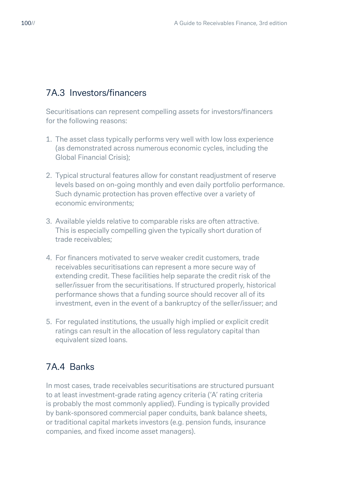#### 7A.3 Investors/financers

Securitisations can represent compelling assets for investors/financers for the following reasons:

- 1. The asset class typically performs very well with low loss experience (as demonstrated across numerous economic cycles, including the Global Financial Crisis);
- 2. Typical structural features allow for constant readjustment of reserve levels based on on-going monthly and even daily portfolio performance. Such dynamic protection has proven effective over a variety of economic environments;
- 3. Available yields relative to comparable risks are often attractive. This is especially compelling given the typically short duration of trade receivables;
- 4. For financers motivated to serve weaker credit customers, trade receivables securitisations can represent a more secure way of extending credit. These facilities help separate the credit risk of the seller/issuer from the securitisations. If structured properly, historical performance shows that a funding source should recover all of its investment, even in the event of a bankruptcy of the seller/issuer; and
- 5. For regulated institutions, the usually high implied or explicit credit ratings can result in the allocation of less regulatory capital than equivalent sized loans.

# 7A.4 Banks

In most cases, trade receivables securitisations are structured pursuant to at least investment-grade rating agency criteria ('A' rating criteria is probably the most commonly applied). Funding is typically provided by bank-sponsored commercial paper conduits, bank balance sheets, or traditional capital markets investors (e.g. pension funds, insurance companies, and fixed income asset managers).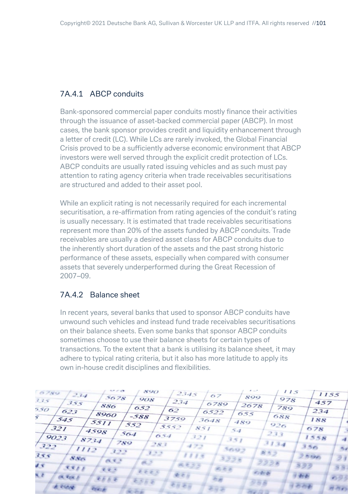#### 7A.4.1 ABCP conduits

Bank-sponsored commercial paper conduits mostly finance their activities through the issuance of asset-backed commercial paper (ABCP). In most cases, the bank sponsor provides credit and liquidity enhancement through a letter of credit (LC). While LCs are rarely invoked, the Global Financial Crisis proved to be a sufficiently adverse economic environment that ABCP investors were well served through the explicit credit protection of LCs. ABCP conduits are usually rated issuing vehicles and as such must pay attention to rating agency criteria when trade receivables securitisations are structured and added to their asset pool.

While an explicit rating is not necessarily required for each incremental securitisation, a re-affirmation from rating agencies of the conduit's rating is usually necessary. It is estimated that trade receivables securitisations represent more than 20% of the assets funded by ABCP conduits. Trade receivables are usually a desired asset class for ABCP conduits due to the inherently short duration of the assets and the past strong historic performance of these assets, especially when compared with consumer assets that severely underperformed during the Great Recession of 2007–09.

#### 7A.4.2 Balance sheet

In recent years, several banks that used to sponsor ABCP conduits have unwound such vehicles and instead fund trade receivables securitisations on their balance sheets. Even some banks that sponsor ABCP conduits sometimes choose to use their balance sheets for certain types of transactions. To the extent that a bank is utilising its balance sheet, it may adhere to typical rating criteria, but it also has more latitude to apply its own in-house credit disciplines and flexibilities.

| $\mathcal{L} = \mathcal{L}$<br>1.7 <sub>1</sub><br>890<br>115<br>6789<br>2345<br>234<br>67<br>899<br>5678<br>978<br>908 |              | 1155                 |
|-------------------------------------------------------------------------------------------------------------------------|--------------|----------------------|
| 335<br>234<br>355<br>6789<br>2678<br>886<br>789<br>652<br>550<br>62<br>623<br>6522                                      | 457<br>234   |                      |
| 655<br>8960<br>$-588$<br>688<br>$\mathcal{F}$<br>3759<br>545<br>3648<br>489<br>5511<br>552<br>926                       | 188          |                      |
| 5552<br>321<br>851<br>$5 - 4$<br>4598<br>233<br>564<br>$0.5 - 1$<br>321<br>9023                                         | 678<br>1558  |                      |
| 351<br>8734<br>789<br>3134<br>283<br>322<br>472<br>5693<br>1112<br>322                                                  | 330          | ۰.                   |
| 2,3,3<br>だりつ<br>1115<br>355<br>3,338<br>Sides<br>633<br>9998<br>0.5                                                     | 20000        | フォ                   |
| 68.55<br>$\mathcal{L} \propto$<br>8811<br>司石石<br>まそう<br>2225<br>$-1200$<br>发送<br>$C = 1$                                | 399<br>40.00 | 2.3.                 |
| $e$ <i>h</i> h e<br>とうりゃ<br>作者会<br><b>PLONE</b><br><b>PERCIFIC</b><br><b>COLOR</b><br><b>Carl Cold Carl</b>             | 2 mg         | めりり<br><b>Little</b> |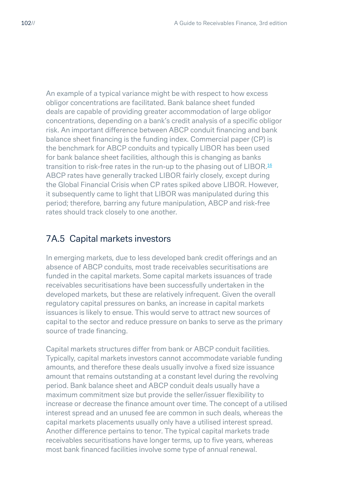An example of a typical variance might be with respect to how excess obligor concentrations are facilitated. Bank balance sheet funded deals are capable of providing greater accommodation of large obligor concentrations, depending on a bank's credit analysis of a specific obligor risk. An important difference between ABCP conduit financing and bank balance sheet financing is the funding index. Commercial paper (CP) is the benchmark for ABCP conduits and typically LIBOR has been used for bank balance sheet facilities, although this is changing as banks transition to risk-free rates in the run-up to the phasing out of LIBOR.<sup>16</sup> ABCP rates have generally tracked LIBOR fairly closely, except during the Global Financial Crisis when CP rates spiked above LIBOR. However, it subsequently came to light that LIBOR was manipulated during this period; therefore, barring any future manipulation, ABCP and risk-free rates should track closely to one another.

#### 7A.5 Capital markets investors

In emerging markets, due to less developed bank credit offerings and an absence of ABCP conduits, most trade receivables securitisations are funded in the capital markets. Some capital markets issuances of trade receivables securitisations have been successfully undertaken in the developed markets, but these are relatively infrequent. Given the overall regulatory capital pressures on banks, an increase in capital markets issuances is likely to ensue. This would serve to attract new sources of capital to the sector and reduce pressure on banks to serve as the primary source of trade financing.

Capital markets structures differ from bank or ABCP conduit facilities. Typically, capital markets investors cannot accommodate variable funding amounts, and therefore these deals usually involve a fixed size issuance amount that remains outstanding at a constant level during the revolving period. Bank balance sheet and ABCP conduit deals usually have a maximum commitment size but provide the seller/issuer flexibility to increase or decrease the finance amount over time. The concept of a utilised interest spread and an unused fee are common in such deals, whereas the capital markets placements usually only have a utilised interest spread. Another difference pertains to tenor. The typical capital markets trade receivables securitisations have longer terms, up to five years, whereas most bank financed facilities involve some type of annual renewal.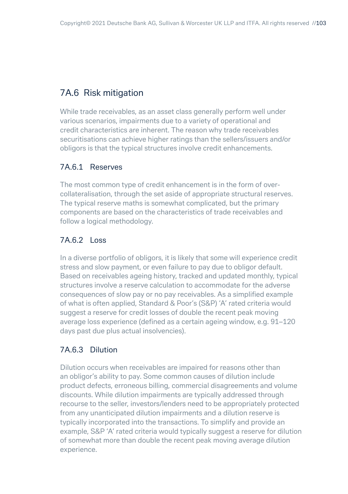# 7A.6 Risk mitigation

While trade receivables, as an asset class generally perform well under various scenarios, impairments due to a variety of operational and credit characteristics are inherent. The reason why trade receivables securitisations can achieve higher ratings than the sellers/issuers and/or obligors is that the typical structures involve credit enhancements.

#### 7A.6.1 Reserves

The most common type of credit enhancement is in the form of overcollateralisation, through the set aside of appropriate structural reserves. The typical reserve maths is somewhat complicated, but the primary components are based on the characteristics of trade receivables and follow a logical methodology.

#### 7A.6.2 Loss

In a diverse portfolio of obligors, it is likely that some will experience credit stress and slow payment, or even failure to pay due to obligor default. Based on receivables ageing history, tracked and updated monthly, typical structures involve a reserve calculation to accommodate for the adverse consequences of slow pay or no pay receivables. As a simplified example of what is often applied, Standard & Poor's (S&P) 'A' rated criteria would suggest a reserve for credit losses of double the recent peak moving average loss experience (defined as a certain ageing window, e.g. 91–120 days past due plus actual insolvencies).

#### 7A.6.3 Dilution

Dilution occurs when receivables are impaired for reasons other than an obligor's ability to pay. Some common causes of dilution include product defects, erroneous billing, commercial disagreements and volume discounts. While dilution impairments are typically addressed through recourse to the seller, investors/lenders need to be appropriately protected from any unanticipated dilution impairments and a dilution reserve is typically incorporated into the transactions. To simplify and provide an example, S&P 'A' rated criteria would typically suggest a reserve for dilution of somewhat more than double the recent peak moving average dilution experience.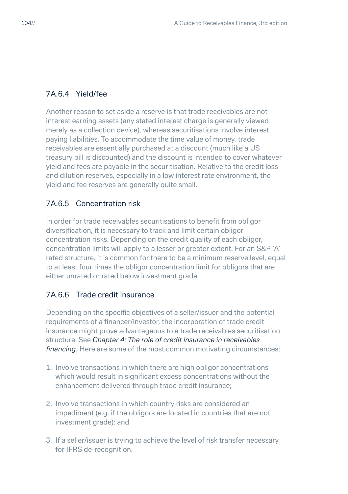#### 7A.6.4 Yield/fee

Another reason to set aside a reserve is that trade receivables are not interest earning assets (any stated interest charge is generally viewed merely as a collection device), whereas securitisations involve interest paying liabilities. To accommodate the time value of money, trade receivables are essentially purchased at a discount (much like a US treasury bill is discounted) and the discount is intended to cover whatever yield and fees are payable in the securitisation. Relative to the credit loss and dilution reserves, especially in a low interest rate environment, the yield and fee reserves are generally quite small.

#### 7A.6.5 Concentration risk

In order for trade receivables securitisations to benefit from obligor diversification, it is necessary to track and limit certain obligor concentration risks. Depending on the credit quality of each obligor, concentration limits will apply to a lesser or greater extent. For an S&P 'A' rated structure, it is common for there to be a minimum reserve level, equal to at least four times the obligor concentration limit for obligors that are either unrated or rated below investment grade.

#### 7A.6.6 Trade credit insurance

Depending on the specific objectives of a seller/issuer and the potential requirements of a financer/investor, the incorporation of trade credit insurance might prove advantageous to a trade receivables securitisation structure. See *Chapter 4: The role of credit insurance in receivables financing*. Here are some of the most common motivating circumstances:

- 1. Involve transactions in which there are high obligor concentrations which would result in significant excess concentrations without the enhancement delivered through trade credit insurance;
- 2. Involve transactions in which country risks are considered an impediment (e.g. if the obligors are located in countries that are not investment grade); and
- 3. If a seller/issuer is trying to achieve the level of risk transfer necessary for IFRS de-recognition.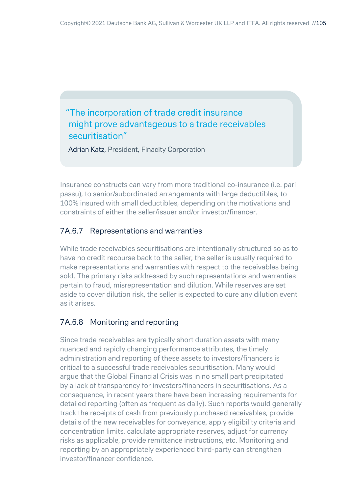"The incorporation of trade credit insurance might prove advantageous to a trade receivables securitisation"

Adrian Katz, President, Finacity Corporation

Insurance constructs can vary from more traditional co-insurance (i.e. pari passu), to senior/subordinated arrangements with large deductibles, to 100% insured with small deductibles, depending on the motivations and constraints of either the seller/issuer and/or investor/financer.

#### 7A.6.7 Representations and warranties

While trade receivables securitisations are intentionally structured so as to have no credit recourse back to the seller, the seller is usually required to make representations and warranties with respect to the receivables being sold. The primary risks addressed by such representations and warranties pertain to fraud, misrepresentation and dilution. While reserves are set aside to cover dilution risk, the seller is expected to cure any dilution event as it arises.

#### 7A.6.8 Monitoring and reporting

Since trade receivables are typically short duration assets with many nuanced and rapidly changing performance attributes, the timely administration and reporting of these assets to investors/financers is critical to a successful trade receivables securitisation. Many would argue that the Global Financial Crisis was in no small part precipitated by a lack of transparency for investors/financers in securitisations. As a consequence, in recent years there have been increasing requirements for detailed reporting (often as frequent as daily). Such reports would generally track the receipts of cash from previously purchased receivables, provide details of the new receivables for conveyance, apply eligibility criteria and concentration limits, calculate appropriate reserves, adjust for currency risks as applicable, provide remittance instructions, etc. Monitoring and reporting by an appropriately experienced third-party can strengthen investor/financer confidence.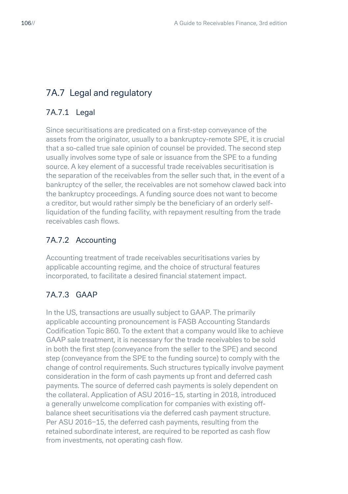# 7A.7 Legal and regulatory

## 7A.7.1 Legal

Since securitisations are predicated on a first-step conveyance of the assets from the originator, usually to a bankruptcy-remote SPE, it is crucial that a so-called true sale opinion of counsel be provided. The second step usually involves some type of sale or issuance from the SPE to a funding source. A key element of a successful trade receivables securitisation is the separation of the receivables from the seller such that, in the event of a bankruptcy of the seller, the receivables are not somehow clawed back into the bankruptcy proceedings. A funding source does not want to become a creditor, but would rather simply be the beneficiary of an orderly selfliquidation of the funding facility, with repayment resulting from the trade receivables cash flows.

#### 7A.7.2 Accounting

Accounting treatment of trade receivables securitisations varies by applicable accounting regime, and the choice of structural features incorporated, to facilitate a desired financial statement impact.

# 7A.7.3 GAAP

In the US, transactions are usually subject to GAAP. The primarily applicable accounting pronouncement is FASB Accounting Standards Codification Topic 860. To the extent that a company would like to achieve GAAP sale treatment, it is necessary for the trade receivables to be sold in both the first step (conveyance from the seller to the SPE) and second step (conveyance from the SPE to the funding source) to comply with the change of control requirements. Such structures typically involve payment consideration in the form of cash payments up front and deferred cash payments. The source of deferred cash payments is solely dependent on the collateral. Application of ASU 2016−15, starting in 2018, introduced a generally unwelcome complication for companies with existing offbalance sheet securitisations via the deferred cash payment structure. Per ASU 2016−15, the deferred cash payments, resulting from the retained subordinate interest, are required to be reported as cash flow from investments, not operating cash flow.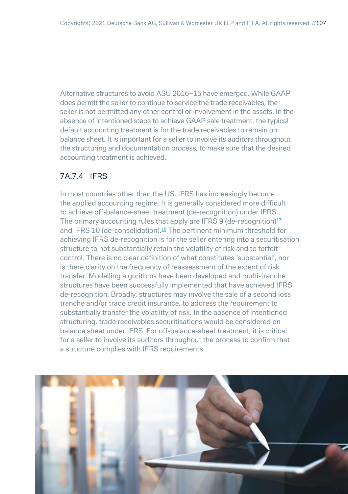Alternative structures to avoid ASU 2016−15 have emerged. While GAAP does permit the seller to continue to service the trade receivables, the seller is not permitted any other control or involvement in the assets. In the absence of intentioned steps to achieve GAAP sale treatment, the typical default accounting treatment is for the trade receivables to remain on balance sheet. It is important for a seller to involve its auditors throughout the structuring and documentation process, to make sure that the desired accounting treatment is achieved.

#### 7A.7.4 IFRS

In most countries other than the US, IFRS has increasingly become the applied accounting regime. It is generally considered more difficult to achieve off-balance-sheet treatment (de-recognition) under IFRS. The primary accounting rules that apply are IFRS 9 (de-recognition) $12$ and IFRS 10 (de-consolidation).<sup>18</sup> The pertinent minimum threshold for achieving IFRS de-recognition is for the seller entering into a securitisation structure to not substantially retain the volatility of risk and to forfeit control. There is no clear definition of what constitutes 'substantial', nor is there clarity on the frequency of reassessment of the extent of risk transfer. Modelling algorithms have been developed and multi-tranche structures have been successfully implemented that have achieved IFRS de-recognition. Broadly, structures may involve the sale of a second loss tranche and/or trade credit insurance, to address the requirement to substantially transfer the volatility of risk. In the absence of intentioned structuring, trade receivables securitisations would be considered on balance sheet under IFRS. For off-balance-sheet treatment, it is critical for a seller to involve its auditors throughout the process to confirm that a structure complies with IFRS requirements.